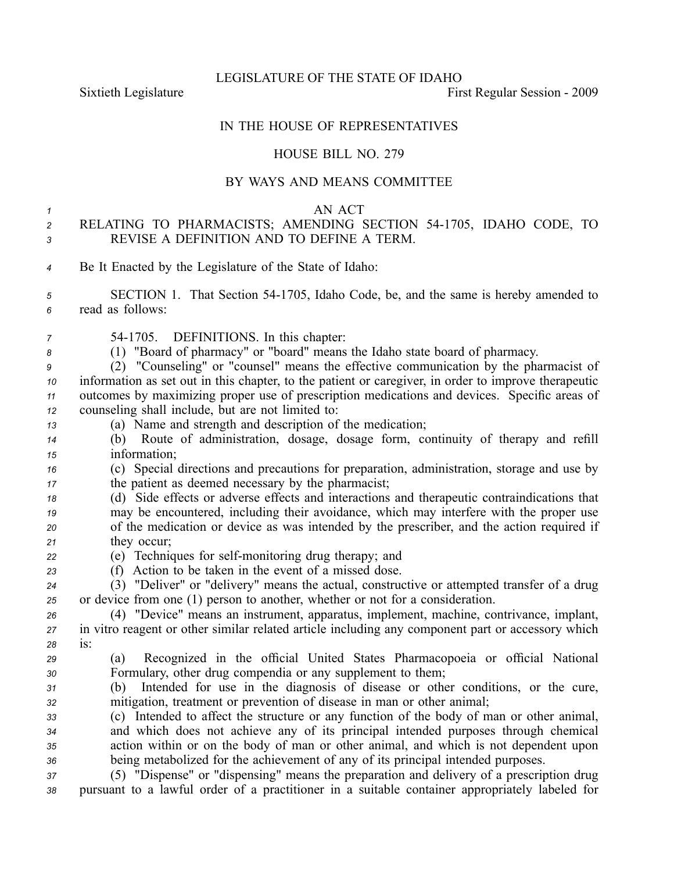LEGISLATURE OF THE STATE OF IDAHO

Sixtieth Legislature **First** Regular Session - 2009

## IN THE HOUSE OF REPRESENTATIVES

### HOUSE BILL NO. 279

### BY WAYS AND MEANS COMMITTEE

#### *1* AN ACT

## *<sup>2</sup>* RELATING TO PHARMACISTS; AMENDING SECTION 541705, IDAHO CODE, TO *3* REVISE A DEFINITION AND TO DEFINE A TERM.

*<sup>4</sup>* Be It Enacted by the Legislature of the State of Idaho:

*<sup>5</sup>* SECTION 1. That Section 541705, Idaho Code, be, and the same is hereby amended to *<sup>6</sup>* read as follows:

*<sup>7</sup>* 541705. DEFINITIONS. In this chapter:

*<sup>8</sup>* (1) "Board of pharmacy" or "board" means the Idaho state board of pharmacy.

 (2) "Counseling" or "counsel" means the effective communication by the pharmacist of information as set out in this chapter, to the patient or caregiver, in order to improve therapeutic outcomes by maximizing proper use of prescription medications and devices. Specific areas of counseling shall include, but are not limited to:

*<sup>13</sup>* (a) Name and strength and description of the medication;

*<sup>14</sup>* (b) Route of administration, dosage, dosage form, continuity of therapy and refill *<sup>15</sup>* information;

*<sup>16</sup>* (c) Special directions and precautions for preparation, administration, storage and use by *<sup>17</sup>* the patient as deemed necessary by the pharmacist;

 (d) Side effects or adverse effects and interactions and therapeutic contraindications that may be encountered, including their avoidance, which may interfere with the proper use of the medication or device as was intended by the prescriber, and the action required if they occur;

- *22* (e) Techniques for self-monitoring drug therapy; and
- *<sup>23</sup>* (f) Action to be taken in the event of <sup>a</sup> missed dose.
- *<sup>24</sup>* (3) "Deliver" or "delivery" means the actual, constructive or attempted transfer of <sup>a</sup> drug *<sup>25</sup>* or device from one (1) person to another, whether or not for <sup>a</sup> consideration.

*<sup>26</sup>* (4) "Device" means an instrument, apparatus, implement, machine, contrivance, implant, *<sup>27</sup>* in vitro reagen<sup>t</sup> or other similar related article including any componen<sup>t</sup> par<sup>t</sup> or accessory which *<sup>28</sup>* is:

- *<sup>29</sup>* (a) Recognized in the official United States Pharmacopoeia or official National *<sup>30</sup>* Formulary, other drug compendia or any supplement to them;
- *<sup>31</sup>* (b) Intended for use in the diagnosis of disease or other conditions, or the cure, *<sup>32</sup>* mitigation, treatment or prevention of disease in man or other animal;

 (c) Intended to affect the structure or any function of the body of man or other animal, and which does not achieve any of its principal intended purposes through chemical action within or on the body of man or other animal, and which is not dependent upon being metabolized for the achievement of any of its principal intended purposes.

*<sup>37</sup>* (5) "Dispense" or "dispensing" means the preparation and delivery of <sup>a</sup> prescription drug *<sup>38</sup>* pursuan<sup>t</sup> to <sup>a</sup> lawful order of <sup>a</sup> practitioner in <sup>a</sup> suitable container appropriately labeled for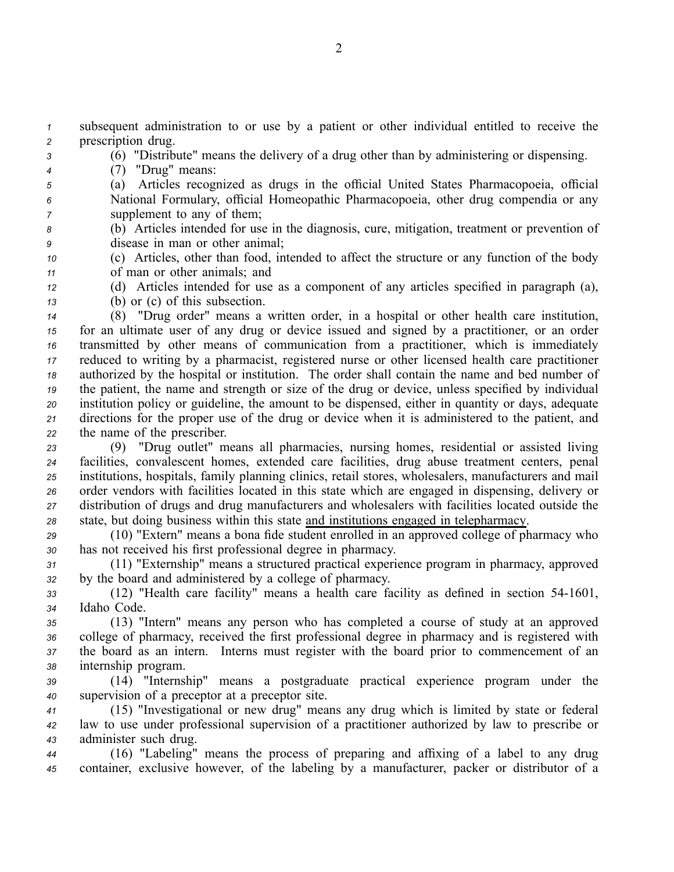*<sup>1</sup>* subsequent administration to or use by <sup>a</sup> patient or other individual entitled to receive the *<sup>2</sup>* prescription drug.

- 
- *<sup>3</sup>* (6) "Distribute" means the delivery of <sup>a</sup> drug other than by administering or dispensing.
- *<sup>4</sup>* (7) "Drug" means:
- *<sup>5</sup>* (a) Articles recognized as drugs in the official United States Pharmacopoeia, official *<sup>6</sup>* National Formulary, official Homeopathic Pharmacopoeia, other drug compendia or any *<sup>7</sup>* supplement to any of them;
- *<sup>8</sup>* (b) Articles intended for use in the diagnosis, cure, mitigation, treatment or prevention of *<sup>9</sup>* disease in man or other animal;
- *<sup>10</sup>* (c) Articles, other than food, intended to affect the structure or any function of the body *<sup>11</sup>* of man or other animals; and

*<sup>12</sup>* (d) Articles intended for use as <sup>a</sup> componen<sup>t</sup> of any articles specified in paragraph (a), *<sup>13</sup>* (b) or (c) of this subsection.

 (8) "Drug order" means <sup>a</sup> written order, in <sup>a</sup> hospital or other health care institution, for an ultimate user of any drug or device issued and signed by <sup>a</sup> practitioner, or an order transmitted by other means of communication from <sup>a</sup> practitioner, which is immediately reduced to writing by <sup>a</sup> pharmacist, registered nurse or other licensed health care practitioner authorized by the hospital or institution. The order shall contain the name and bed number of the patient, the name and strength or size of the drug or device, unless specified by individual institution policy or guideline, the amount to be dispensed, either in quantity or days, adequate directions for the proper use of the drug or device when it is administered to the patient, and the name of the prescriber.

 (9) "Drug outlet" means all pharmacies, nursing homes, residential or assisted living facilities, convalescent homes, extended care facilities, drug abuse treatment centers, penal institutions, hospitals, family planning clinics, retail stores, wholesalers, manufacturers and mail order vendors with facilities located in this state which are engaged in dispensing, delivery or distribution of drugs and drug manufacturers and wholesalers with facilities located outside the state, but doing business within this state and institutions engaged in telepharmacy.

*<sup>29</sup>* (10) "Extern" means <sup>a</sup> bona fide student enrolled in an approved college of pharmacy who *<sup>30</sup>* has not received his first professional degree in pharmacy.

*<sup>31</sup>* (11) "Externship" means <sup>a</sup> structured practical experience program in pharmacy, approved *<sup>32</sup>* by the board and administered by <sup>a</sup> college of pharmacy.

*<sup>33</sup>* (12) "Health care facility" means <sup>a</sup> health care facility as defined in section 541601, *<sup>34</sup>* Idaho Code.

 (13) "Intern" means any person who has completed <sup>a</sup> course of study at an approved college of pharmacy, received the first professional degree in pharmacy and is registered with the board as an intern. Interns must register with the board prior to commencement of an internship program.

*<sup>39</sup>* (14) "Internship" means <sup>a</sup> postgraduate practical experience program under the *<sup>40</sup>* supervision of <sup>a</sup> preceptor at <sup>a</sup> preceptor site.

*<sup>41</sup>* (15) "Investigational or new drug" means any drug which is limited by state or federal *<sup>42</sup>* law to use under professional supervision of <sup>a</sup> practitioner authorized by law to prescribe or *<sup>43</sup>* administer such drug.

*<sup>44</sup>* (16) "Labeling" means the process of preparing and affixing of <sup>a</sup> label to any drug *<sup>45</sup>* container, exclusive however, of the labeling by <sup>a</sup> manufacturer, packer or distributor of <sup>a</sup>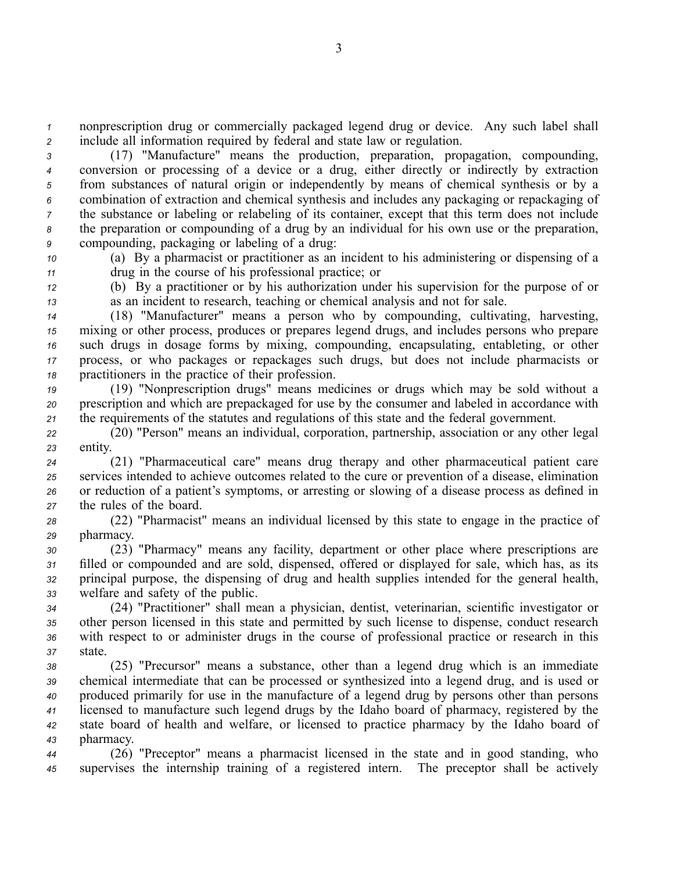*<sup>1</sup>* nonprescription drug or commercially packaged legend drug or device. Any such label shall *<sup>2</sup>* include all information required by federal and state law or regulation.

 (17) "Manufacture" means the production, preparation, propagation, compounding, conversion or processing of <sup>a</sup> device or <sup>a</sup> drug, either directly or indirectly by extraction from substances of natural origin or independently by means of chemical synthesis or by <sup>a</sup> combination of extraction and chemical synthesis and includes any packaging or repackaging of the substance or labeling or relabeling of its container, excep<sup>t</sup> that this term does not include the preparation or compounding of <sup>a</sup> drug by an individual for his own use or the preparation, compounding, packaging or labeling of <sup>a</sup> drug:

*<sup>10</sup>* (a) By <sup>a</sup> pharmacist or practitioner as an incident to his administering or dispensing of <sup>a</sup> *<sup>11</sup>* drug in the course of his professional practice; or

*<sup>12</sup>* (b) By <sup>a</sup> practitioner or by his authorization under his supervision for the purpose of or *<sup>13</sup>* as an incident to research, teaching or chemical analysis and not for sale.

 (18) "Manufacturer" means <sup>a</sup> person who by compounding, cultivating, harvesting, mixing or other process, produces or prepares legend drugs, and includes persons who prepare such drugs in dosage forms by mixing, compounding, encapsulating, entableting, or other process, or who packages or repackages such drugs, but does not include pharmacists or practitioners in the practice of their profession.

*<sup>19</sup>* (19) "Nonprescription drugs" means medicines or drugs which may be sold without <sup>a</sup> *<sup>20</sup>* prescription and which are prepackaged for use by the consumer and labeled in accordance with *<sup>21</sup>* the requirements of the statutes and regulations of this state and the federal government.

*<sup>22</sup>* (20) "Person" means an individual, corporation, partnership, association or any other legal *<sup>23</sup>* entity.

 (21) "Pharmaceutical care" means drug therapy and other pharmaceutical patient care services intended to achieve outcomes related to the cure or prevention of <sup>a</sup> disease, elimination or reduction of <sup>a</sup> patient's symptoms, or arresting or slowing of <sup>a</sup> disease process as defined in the rules of the board.

*<sup>28</sup>* (22) "Pharmacist" means an individual licensed by this state to engage in the practice of *<sup>29</sup>* pharmacy.

 (23) "Pharmacy" means any facility, department or other place where prescriptions are filled or compounded and are sold, dispensed, offered or displayed for sale, which has, as its principal purpose, the dispensing of drug and health supplies intended for the general health, welfare and safety of the public.

 (24) "Practitioner" shall mean <sup>a</sup> physician, dentist, veterinarian, scientific investigator or other person licensed in this state and permitted by such license to dispense, conduct research with respec<sup>t</sup> to or administer drugs in the course of professional practice or research in this *37* state.

 (25) "Precursor" means <sup>a</sup> substance, other than <sup>a</sup> legend drug which is an immediate chemical intermediate that can be processed or synthesized into <sup>a</sup> legend drug, and is used or produced primarily for use in the manufacture of <sup>a</sup> legend drug by persons other than persons licensed to manufacture such legend drugs by the Idaho board of pharmacy, registered by the state board of health and welfare, or licensed to practice pharmacy by the Idaho board of pharmacy.

*<sup>44</sup>* (26) "Preceptor" means <sup>a</sup> pharmacist licensed in the state and in good standing, who *<sup>45</sup>* supervises the internship training of <sup>a</sup> registered intern. The preceptor shall be actively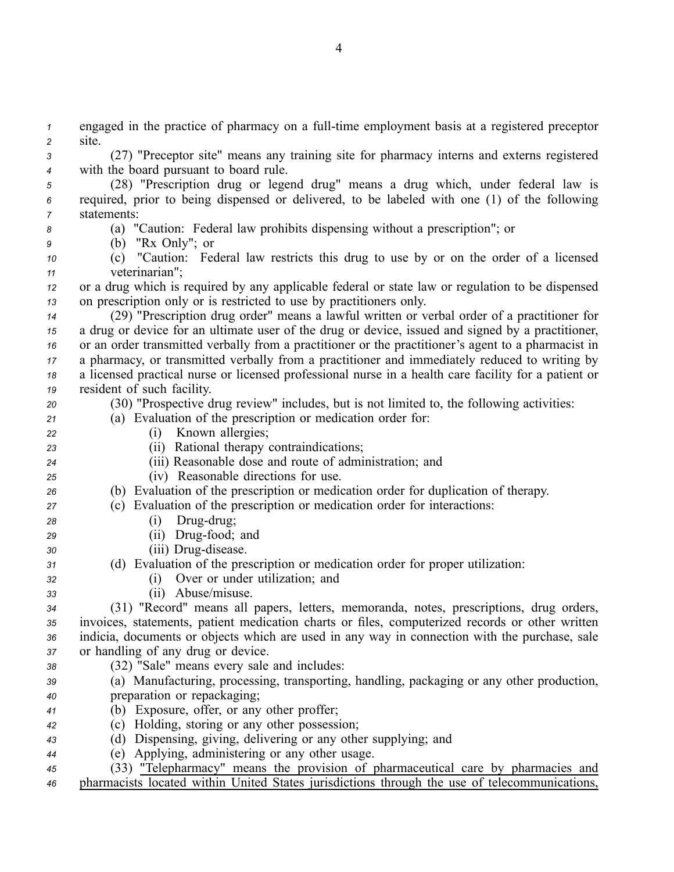*1* engaged in the practice of pharmacy on a full-time employment basis at a registered preceptor *<sup>2</sup>* site.

*<sup>3</sup>* (27) "Preceptor site" means any training site for pharmacy interns and externs registered *<sup>4</sup>* with the board pursuan<sup>t</sup> to board rule.

*<sup>5</sup>* (28) "Prescription drug or legend drug" means <sup>a</sup> drug which, under federal law is *<sup>6</sup>* required, prior to being dispensed or delivered, to be labeled with one (1) of the following *7* statements:

## *<sup>8</sup>* (a) "Caution: Federal law prohibits dispensing without <sup>a</sup> prescription"; or

*<sup>9</sup>* (b) "Rx Only"; or

*<sup>10</sup>* (c) "Caution: Federal law restricts this drug to use by or on the order of <sup>a</sup> licensed *<sup>11</sup>* veterinarian";

*<sup>12</sup>* or <sup>a</sup> drug which is required by any applicable federal or state law or regulation to be dispensed *<sup>13</sup>* on prescription only or is restricted to use by practitioners only.

 (29) "Prescription drug order" means <sup>a</sup> lawful written or verbal order of <sup>a</sup> practitioner for <sup>a</sup> drug or device for an ultimate user of the drug or device, issued and signed by <sup>a</sup> practitioner, or an order transmitted verbally from <sup>a</sup> practitioner or the practitioner's agen<sup>t</sup> to <sup>a</sup> pharmacist in <sup>a</sup> pharmacy, or transmitted verbally from <sup>a</sup> practitioner and immediately reduced to writing by <sup>a</sup> licensed practical nurse or licensed professional nurse in <sup>a</sup> health care facility for <sup>a</sup> patient or resident of such facility.

*<sup>20</sup>* (30) "Prospective drug review" includes, but is not limited to, the following activities:

## *<sup>21</sup>* (a) Evaluation of the prescription or medication order for:

- *<sup>22</sup>* (i) Known allergies; *<sup>23</sup>* (ii) Rational therapy contraindications;
- *<sup>24</sup>* (iii) Reasonable dose and route of administration; and
- *<sup>25</sup>* (iv) Reasonable directions for use.

# *<sup>26</sup>* (b) Evaluation of the prescription or medication order for duplication of therapy.

- *<sup>27</sup>* (c) Evaluation of the prescription or medication order for interactions:
- *z*<sup>8</sup> (i) Drug-drug;
- 29 (ii) Drug-food; and
- *30* (iii) Drug-disease.

# *<sup>31</sup>* (d) Evaluation of the prescription or medication order for proper utilization:

- *<sup>32</sup>* (i) Over or under utilization; and
- *<sup>33</sup>* (ii) Abuse/misuse.

 (31) "Record" means all papers, letters, memoranda, notes, prescriptions, drug orders, invoices, statements, patient medication charts or files, computerized records or other written indicia, documents or objects which are used in any way in connection with the purchase, sale or handling of any drug or device.

- *<sup>38</sup>* (32) "Sale" means every sale and includes:
- *<sup>39</sup>* (a) Manufacturing, processing, transporting, handling, packaging or any other production, *<sup>40</sup>* preparation or repackaging;
- *<sup>41</sup>* (b) Exposure, offer, or any other proffer;
- *<sup>42</sup>* (c) Holding, storing or any other possession;
- *<sup>43</sup>* (d) Dispensing, giving, delivering or any other supplying; and
- *<sup>44</sup>* (e) Applying, administering or any other usage.
- *<sup>45</sup>* (33) "Telepharmacy" means the provision of pharmaceutical care by pharmacies and *<sup>46</sup>* pharmacists located within United States jurisdictions through the use of telecommunications,